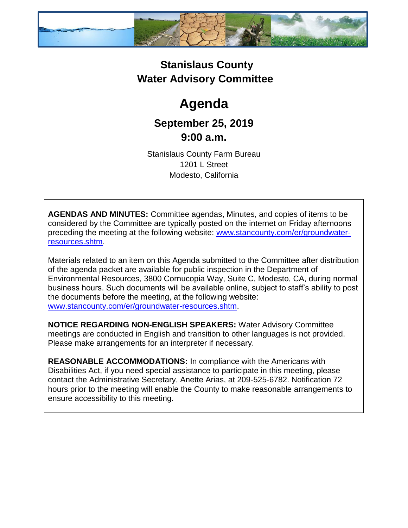

### **Stanislaus County Water Advisory Committee**

# **Agenda**

## **September 25, 2019 9:00 a.m.**

Stanislaus County Farm Bureau 1201 L Street Modesto, California

**AGENDAS AND MINUTES:** Committee agendas, Minutes, and copies of items to be considered by the Committee are typically posted on the internet on Friday afternoons preceding the meeting at the following website: [www.stancounty.com/er/groundwater](http://www.stancounty.com/er/groundwater-resources.shtm)[resources.shtm.](http://www.stancounty.com/er/groundwater-resources.shtm)

Materials related to an item on this Agenda submitted to the Committee after distribution of the agenda packet are available for public inspection in the Department of Environmental Resources, 3800 Cornucopia Way, Suite C, Modesto, CA, during normal business hours. Such documents will be available online, subject to staff's ability to post the documents before the meeting, at the following website: [www.stancounty.com/er/groundwater-resources.shtm.](http://www.stancounty.com/er/groundwater-resources.shtm)

**NOTICE REGARDING NON-ENGLISH SPEAKERS:** Water Advisory Committee meetings are conducted in English and transition to other languages is not provided. Please make arrangements for an interpreter if necessary.

**REASONABLE ACCOMMODATIONS:** In compliance with the Americans with Disabilities Act, if you need special assistance to participate in this meeting, please contact the Administrative Secretary, Anette Arias, at 209-525-6782. Notification 72 hours prior to the meeting will enable the County to make reasonable arrangements to ensure accessibility to this meeting.